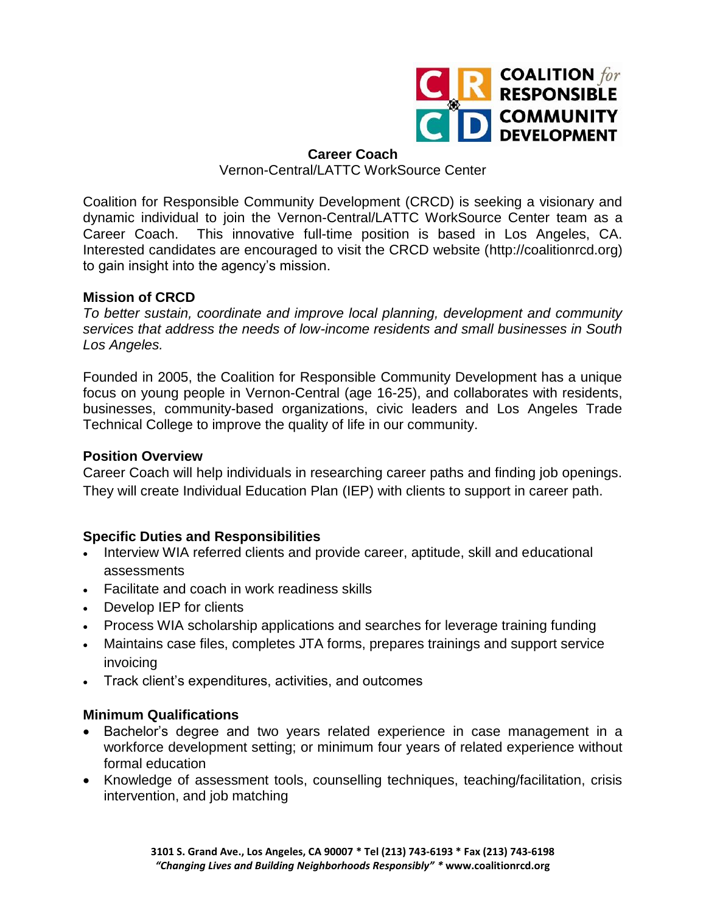

### **Career Coach**

### Vernon-Central/LATTC WorkSource Center

Coalition for Responsible Community Development (CRCD) is seeking a visionary and dynamic individual to join the Vernon-Central/LATTC WorkSource Center team as a Career Coach. This innovative full-time position is based in Los Angeles, CA. Interested candidates are encouraged to visit the CRCD website (http://coalitionrcd.org) to gain insight into the agency's mission.

# **Mission of CRCD**

*To better sustain, coordinate and improve local planning, development and community services that address the needs of low-income residents and small businesses in South Los Angeles.*

Founded in 2005, the Coalition for Responsible Community Development has a unique focus on young people in Vernon-Central (age 16-25), and collaborates with residents, businesses, community-based organizations, civic leaders and Los Angeles Trade Technical College to improve the quality of life in our community.

# **Position Overview**

Career Coach will help individuals in researching career paths and finding job openings. They will create Individual Education Plan (IEP) with clients to support in career path.

# **Specific Duties and Responsibilities**

- Interview WIA referred clients and provide career, aptitude, skill and educational assessments
- Facilitate and coach in work readiness skills
- Develop IEP for clients
- Process WIA scholarship applications and searches for leverage training funding
- Maintains case files, completes JTA forms, prepares trainings and support service invoicing
- Track client's expenditures, activities, and outcomes

# **Minimum Qualifications**

- Bachelor's degree and two years related experience in case management in a workforce development setting; or minimum four years of related experience without formal education
- Knowledge of assessment tools, counselling techniques, teaching/facilitation, crisis intervention, and job matching